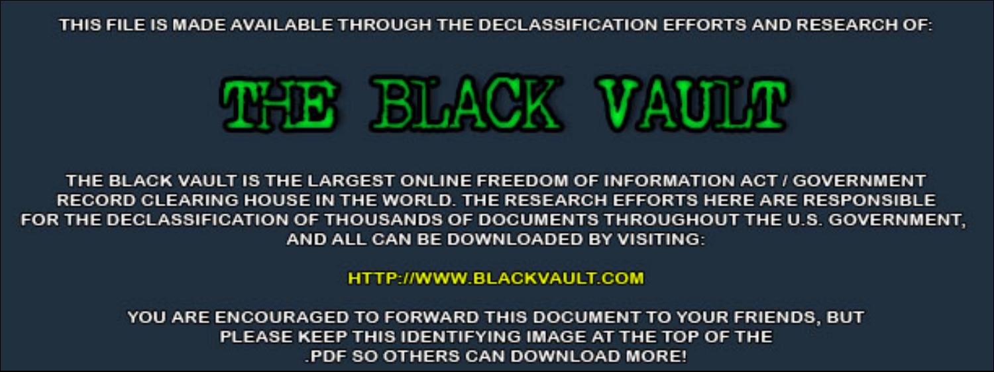THIS FILE IS MADE AVAILABLE THROUGH THE DECLASSIFICATION EFFORTS AND RESEARCH OF:



THE BLACK VAULT IS THE LARGEST ONLINE FREEDOM OF INFORMATION ACT / GOVERNMENT RECORD CLEARING HOUSE IN THE WORLD. THE RESEARCH EFFORTS HERE ARE RESPONSIBLE FOR THE DECLASSIFICATION OF THOUSANDS OF DOCUMENTS THROUGHOUT THE U.S. GOVERNMENT, AND ALL CAN BE DOWNLOADED BY VISITING:

**HTTP://WWW.BLACKVAULT.COM** 

YOU ARE ENCOURAGED TO FORWARD THIS DOCUMENT TO YOUR FRIENDS, BUT PLEASE KEEP THIS IDENTIFYING IMAGE AT THE TOP OF THE PDF SO OTHERS CAN DOWNLOAD MORE!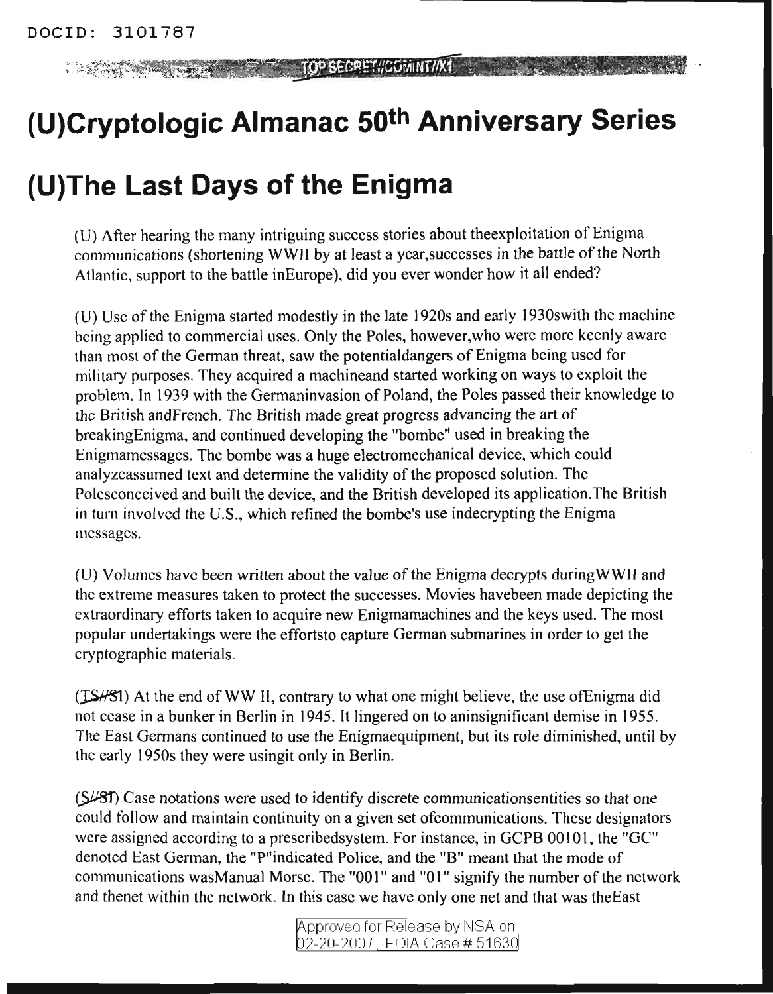TOP SECRET#COMINT//X1 **COMPANY COMPANY COMPANY** 

## **(U)Cryptologic Almanac 50th Anniversary Series**

## **(U)The Last Days of the Enigma**

(U) After hearing the many intriguing success stories about theexploitation of Enigma communications (shortening WWII by at least a year, successes in the battle of the North Atlantic, support to the battle inEurope), did you ever wonder how it all ended?

(U) Use of the Enigma started modestly in the late 1920s and early 1930s with the machine being applied to commercial uses. Only the Poles, however,who were more keenly aware than most of the German threat, saw the potentialdangers of Enigma being used for military purposes. They acquired a maehineand started working on ways to exploit the problem. In 1939 with the Germaninvasion of Poland, the Poles passed their knowledge to the British andFrench. The British made great progress advancing the art of breakingEnigma, and continued developing the "bombe" used in breaking the Enigmamessages. The bombe was a huge electromechanical device, which could analyzeassumed text and determine the validity of the proposed solution. The Polesconceived and built the device, and the British developed its applieation.The British in tum involved the U.S., which refined the bombe's use indecrypting the Enigma messages.

(U) Volumes have been written about the value of the Enigma decrypts during WWII and the extreme measures taken to protect the successes. Movies havebeen made depicting the extraordinary efforts taken to acquire new Enigmamachines and the keys used. The most popular undertakings were the effortsto capture German submarines in order to get the cryptographic materials.

(ISHSI) At the end of WW II, contrary to what one might believe, the use of Enigma did not cease in a bunker in Berlin in 1945. It lingered on to aninsignificant demise in 1955. The East Germans continued to use the Enigmaequipment, but its role diminished, until by the early 1950s they were usingit only in Berlin.

(SLSI) Case notations were used to identify discrete communicationsentities so that one could follow and maintain continuity on a given set ofcommunications. These designators wcre assigned according to a prescribedsystem. For instance, in GCPB 00101, the "GC" denoted East German, the "P"indicated Police, and the "B" meant that the mode of communications wasManual Morse. The "001" and "01" signify the number of the network and thenet within the network. In this case we have only one net and that was theEast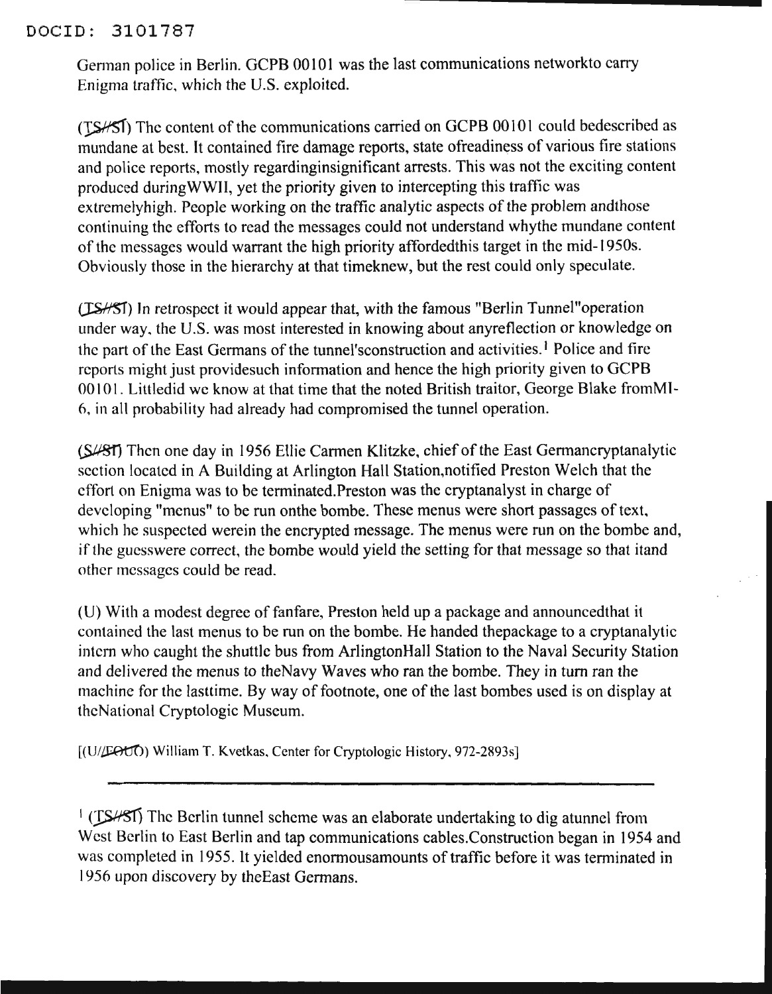## DOCID: 3101787

German police in Berlin. GCPB 00101 was the last communications networkto carry Enigma traffic, which the U.S. exploited.

(TSHSI) The content of the communications carried on GCPB 00101 could bedescribed as mundane at best. It contained fire damage reports, state ofreadiness of various fire stations and police reports, mostly regardinginsignificant arrests. This was not the exciting content produced duringWWII, yet the priority given to intercepting this traffic was extremelyhigh. People working on the traffic analytic aspects of the problem andthose continuing the efforts to read the messages could not understand whythe mundane content of the messages would warrant the high priority affordedthis target in the mid-1950s. Obviously those in the hierarchy at that timeknew, but the rest could only speculate.

(ISHSI) In retrospect it would appear that, with the famous "Berlin Tunnel" operation under way, the U.S. was most interested in knowing about anyreflection or knowledge on the part of the East Germans of the tunnel'sconstruction and activities.<sup>1</sup> Police and fire reports might just providesuch information and hence the high priority given to GCPB 00101. Littledid we know at that time that the noted British traitor, George Blake fromMI-6, in all probability had already had compromised the tunnel operation.

(S/81) Then one day in 1956 Ellie Carmen Klitzke, chief of the East Germancryptanalytic section locatcd in A Building at Arlington Hall Station,notified Preston Welch that the effort on Enigma was to be terminated.Preston was the cryptanalyst in charge of developing "menus" to be run onthe bombe. These menus were short passages of text, which he suspected werein the encrypted message. The menus were run on the bombe and, if the guesswere correct, the bombe would yield the setting for that message so that itand other messages could be read.

(U) With a modest degree offanfare, Preston held up a package and announcedthat it contained the last menus to be run on the bombe. He handed thepackage to a cryptanalytic intern who caught the shuttle bus from ArlingtonHall Station to the Naval Security Station and delivered the menus to theNavy Waves who ran the bombe. They in turn ran the machine for the lasttime. By way of footnote, one of the last bombes used is on display at theNational Cryptologic Museum.

[(U/EOU) William T. Kvetkas, Center for Cryptologic History, 972-2893s]

 $\frac{1}{2}$  (TSHSI) The Berlin tunnel scheme was an elaborate undertaking to dig atunnel from West Berlin to East Berlin and tap communications cables.Construction began in 1954 and was completed in 1955. It yielded enormousamounts of traffic before it was terminated in 1956 upon discovery by theEast Germans.